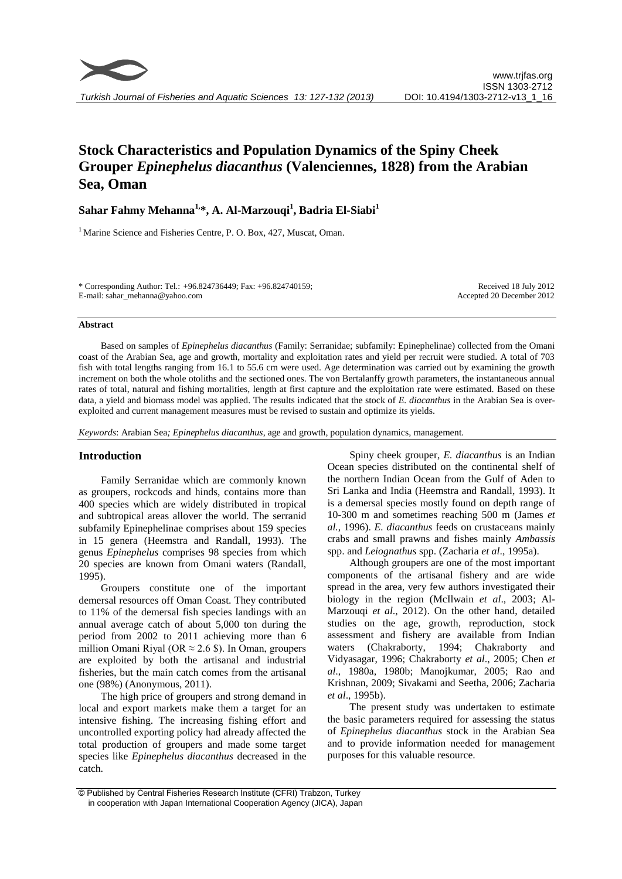# **Stock Characteristics and Population Dynamics of the Spiny Cheek Grouper** *Epinephelus diacanthus* **(Valenciennes, 1828) from the Arabian Sea, Oman**

# **Sahar Fahmy Mehanna1,\*, A. Al-Marzouqi<sup>1</sup> , Badria El-Siabi 1**

 $1$  Marine Science and Fisheries Centre, P. O. Box, 427, Muscat, Oman.

\* Corresponding Author: Tel.: +96.824736449; Fax: +96.824740159; E-mail: sahar\_mehanna@yahoo.com

Received 18 July 2012 Accepted 20 December 2012

#### **Abstract**

Based on samples of *Epinephelus diacanthus* (Family: Serranidae; subfamily: Epinephelinae) collected from the Omani coast of the Arabian Sea, age and growth, mortality and exploitation rates and yield per recruit were studied. A total of 703 fish with total lengths ranging from 16.1 to 55.6 cm were used. Age determination was carried out by examining the growth increment on both the whole otoliths and the sectioned ones. The von Bertalanffy growth parameters, the instantaneous annual rates of total, natural and fishing mortalities, length at first capture and the exploitation rate were estimated. Based on these data, a yield and biomass model was applied. The results indicated that the stock of *E. diacanthus* in the Arabian Sea is overexploited and current management measures must be revised to sustain and optimize its yields.

*Keywords*: Arabian Sea*; Epinephelus diacanthus*, age and growth, population dynamics, management*.*

# **Introduction**

Family Serranidae which are commonly known as groupers, rockcods and hinds, contains more than 400 species which are widely distributed in tropical and subtropical areas allover the world. The serranid subfamily Epinephelinae comprises about 159 species in 15 genera (Heemstra and Randall, 1993). The genus *Epinephelus* comprises 98 species from which 20 species are known from Omani waters (Randall, 1995).

Groupers constitute one of the important demersal resources off Oman Coast. They contributed to 11% of the demersal fish species landings with an annual average catch of about 5,000 ton during the period from 2002 to 2011 achieving more than 6 million Omani Riyal (OR  $\approx$  2.6 \$). In Oman, groupers are exploited by both the artisanal and industrial fisheries, but the main catch comes from the artisanal one (98%) (Anonymous, 2011).

The high price of groupers and strong demand in local and export markets make them a target for an intensive fishing. The increasing fishing effort and uncontrolled exporting policy had already affected the total production of groupers and made some target species like *Epinephelus diacanthus* decreased in the catch.

Spiny cheek grouper, *E. diacanthus* is an Indian Ocean species distributed on the continental shelf of the northern Indian Ocean from the Gulf of Aden to Sri Lanka and India (Heemstra and Randall, 1993). It is a demersal species mostly found on depth range of 10-300 m and sometimes reaching 500 m (James *et al.*, 1996). *E. diacanthus* feeds on crustaceans mainly crabs and small prawns and fishes mainly *Ambassis* spp. and *Leiognathus* spp. (Zacharia *et al*., 1995a).

Although groupers are one of the most important components of the artisanal fishery and are wide spread in the area, very few authors investigated their biology in the region (McIlwain *et al*., 2003; Al-Marzouqi *et al*., 2012). On the other hand, detailed studies on the age, growth, reproduction, stock assessment and fishery are available from Indian waters (Chakraborty, 1994; Chakraborty and Vidyasagar, 1996; Chakraborty *et al*., 2005; Chen *et al*., 1980a, 1980b; Manojkumar, 2005; Rao and Krishnan, 2009; [Sivakami](http://indiareeffishes.lifedesks.org/biblio/author/168) and [Seetha,](http://indiareeffishes.lifedesks.org/biblio/author/169) 2006; Zacharia *et al*., 1995b).

The present study was undertaken to estimate the basic parameters required for assessing the status of *Epinephelus diacanthus* stock in the Arabian Sea and to provide information needed for management purposes for this valuable resource.

<sup>©</sup> Published by Central Fisheries Research Institute (CFRI) Trabzon, Turkey in cooperation with Japan International Cooperation Agency (JICA), Japan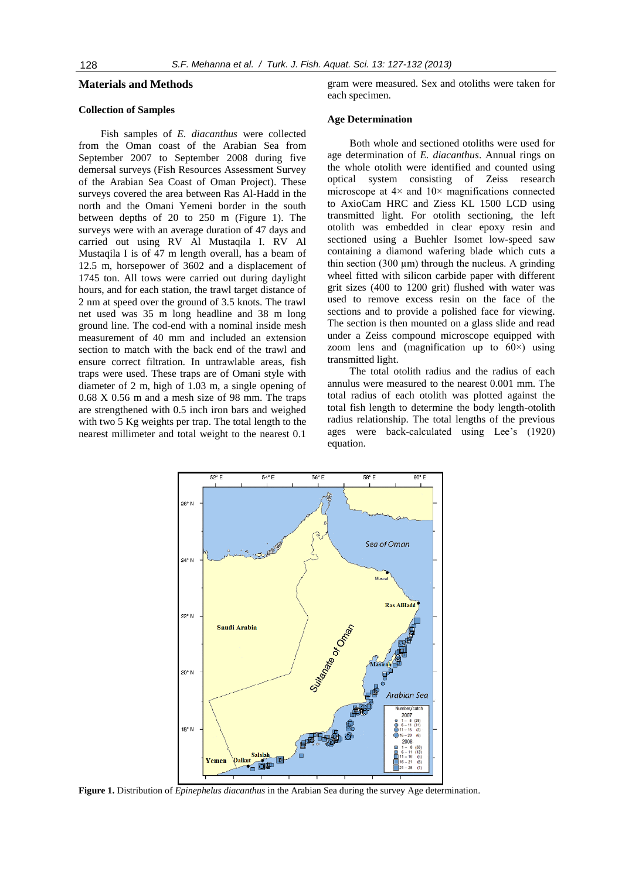# **Materials and Methods**

#### **Collection of Samples**

Fish samples of *E. diacanthus* were collected from the Oman coast of the Arabian Sea from September 2007 to September 2008 during five demersal surveys (Fish Resources Assessment Survey of the Arabian Sea Coast of Oman Project). These surveys covered the area between Ras Al-Hadd in the north and the Omani Yemeni border in the south between depths of 20 to 250 m (Figure 1). The surveys were with an average duration of 47 days and carried out using RV Al Mustaqila I. RV Al Mustaqila I is of 47 m length overall, has a beam of 12.5 m, horsepower of 3602 and a displacement of 1745 ton. All tows were carried out during daylight hours, and for each station, the trawl target distance of 2 nm at speed over the ground of 3.5 knots. The trawl net used was 35 m long headline and 38 m long ground line. The cod-end with a nominal inside mesh measurement of 40 mm and included an extension section to match with the back end of the trawl and ensure correct filtration. In untrawlable areas, fish traps were used. These traps are of Omani style with diameter of 2 m, high of 1.03 m, a single opening of 0.68 X 0.56 m and a mesh size of 98 mm. The traps are strengthened with 0.5 inch iron bars and weighed with two 5 Kg weights per trap. The total length to the nearest millimeter and total weight to the nearest 0.1

gram were measured. Sex and otoliths were taken for each specimen.

#### **Age Determination**

Both whole and sectioned otoliths were used for age determination of *E. diacanthus*. Annual rings on the whole otolith were identified and counted using optical system consisting of Zeiss research microscope at  $4 \times$  and  $10 \times$  magnifications connected to AxioCam HRC and Ziess KL 1500 LCD using transmitted light. For otolith sectioning, the left otolith was embedded in clear epoxy resin and sectioned using a Buehler Isomet low-speed saw containing a diamond wafering blade which cuts a thin section (300  $\mu$ m) through the nucleus. A grinding wheel fitted with silicon carbide paper with different grit sizes (400 to 1200 grit) flushed with water was used to remove excess resin on the face of the sections and to provide a polished face for viewing. The section is then mounted on a glass slide and read under a Zeiss compound microscope equipped with zoom lens and (magnification up to  $60\times$ ) using transmitted light.

The total otolith radius and the radius of each annulus were measured to the nearest 0.001 mm. The total radius of each otolith was plotted against the total fish length to determine the body length-otolith radius relationship. The total lengths of the previous ages were back-calculated using Lee's (1920) equation.



**Figure 1.** Distribution of *Epinephelus diacanthus* in the Arabian Sea during the survey Age determination.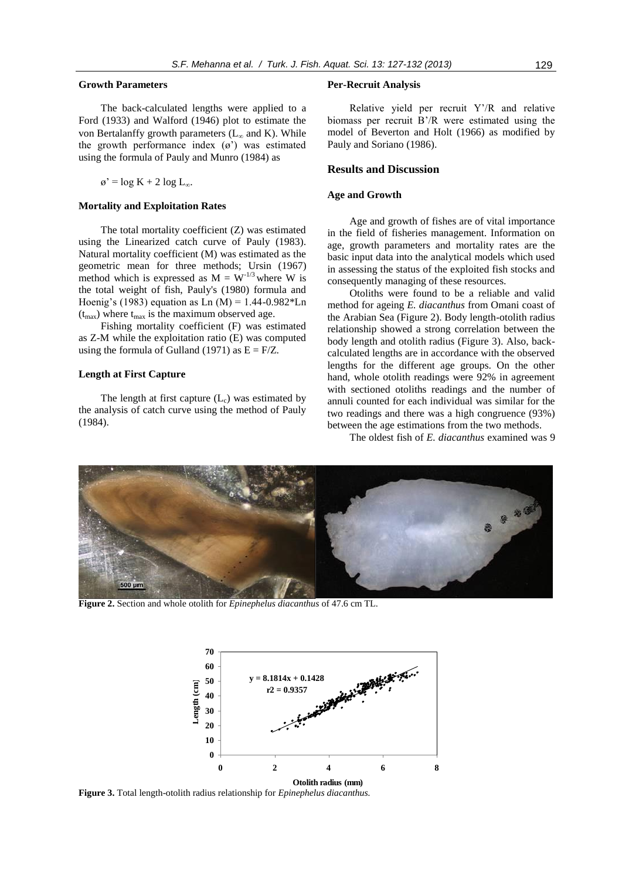### **Growth Parameters**

The back-calculated lengths were applied to a Ford (1933) and Walford (1946) plot to estimate the von Bertalanffy growth parameters  $(L_{\infty}$  and K). While the growth performance index (ø') was estimated using the formula of Pauly and Munro (1984) as

 $\varnothing$ ' = log K + 2 log L<sub> $\infty$ </sub>.

#### **Mortality and Exploitation Rates**

The total mortality coefficient (Z) was estimated using the Linearized catch curve of Pauly (1983). Natural mortality coefficient (M) was estimated as the geometric mean for three methods; Ursin (1967) method which is expressed as  $M = W^{-1/3}$  where W is the total weight of fish, Pauly's (1980) formula and Hoenig's (1983) equation as Ln (M) =  $1.44 - 0.982 *$ Ln  $(t_{\text{max}})$  where  $t_{\text{max}}$  is the maximum observed age.

Fishing mortality coefficient (F) was estimated as Z-M while the exploitation ratio (E) was computed using the formula of Gulland (1971) as  $E = F/Z$ .

# **Length at First Capture**

The length at first capture  $(L<sub>c</sub>)$  was estimated by the analysis of catch curve using the method of Pauly (1984).

#### **Per-Recruit Analysis**

Relative yield per recruit Y'/R and relative biomass per recruit B'/R were estimated using the model of Beverton and Holt (1966) as modified by Pauly and Soriano (1986).

#### **Results and Discussion**

#### **Age and Growth**

Age and growth of fishes are of vital importance in the field of fisheries management. Information on age, growth parameters and mortality rates are the basic input data into the analytical models which used in assessing the status of the exploited fish stocks and consequently managing of these resources.

Otoliths were found to be a reliable and valid method for ageing *E. diacanthus* from Omani coast of the Arabian Sea (Figure 2). Body length-otolith radius relationship showed a strong correlation between the body length and otolith radius (Figure 3). Also, backcalculated lengths are in accordance with the observed lengths for the different age groups. On the other hand, whole otolith readings were 92% in agreement with sectioned otoliths readings and the number of annuli counted for each individual was similar for the two readings and there was a high congruence (93%) between the age estimations from the two methods.

The oldest fish of *E. diacanthus* examined was 9



**Figure 2.** Section and whole otolith for *Epinephelus diacanthus* of 47.6 cm TL.



**Figure 3.** Total length-otolith radius relationship for *Epinephelus diacanthus.*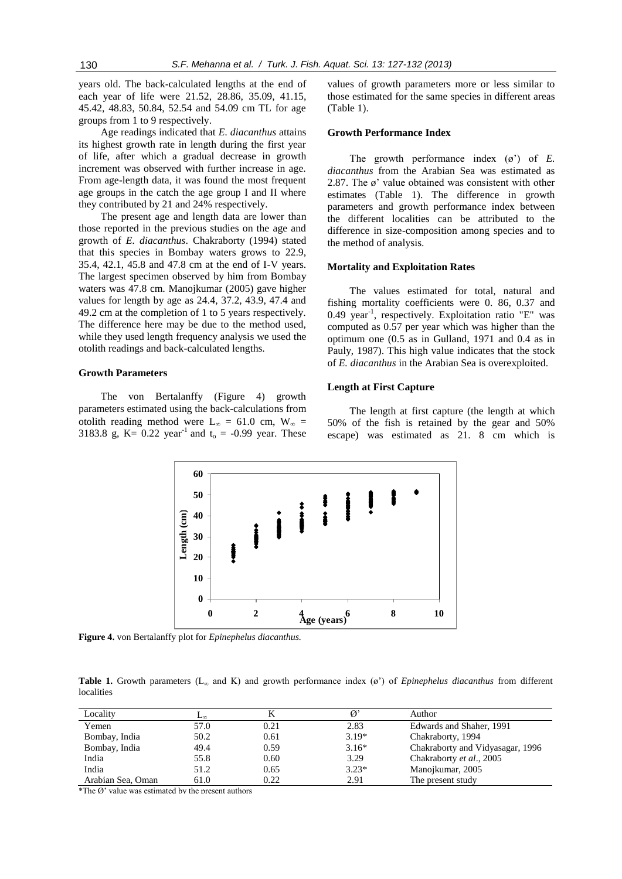years old. The back-calculated lengths at the end of each year of life were 21.52, 28.86, 35.09, 41.15, 45.42, 48.83, 50.84, 52.54 and 54.09 cm TL for age groups from 1 to 9 respectively.

Age readings indicated that *E. diacanthus* attains its highest growth rate in length during the first year of life, after which a gradual decrease in growth increment was observed with further increase in age. From age-length data, it was found the most frequent age groups in the catch the age group I and II where they contributed by 21 and 24% respectively.

The present age and length data are lower than those reported in the previous studies on the age and growth of *E. diacanthus*. Chakraborty (1994) stated that this species in Bombay waters grows to 22.9, 35.4, 42.1, 45.8 and 47.8 cm at the end of I-V years. The largest specimen observed by him from Bombay waters was 47.8 cm. Manojkumar (2005) gave higher values for length by age as 24.4, 37.2, 43.9, 47.4 and 49.2 cm at the completion of 1 to 5 years respectively. The difference here may be due to the method used, while they used length frequency analysis we used the otolith readings and back-calculated lengths.

#### **Growth Parameters**

The von Bertalanffy (Figure 4) growth parameters estimated using the back-calculations from otolith reading method were  $L_{\infty} = 61.0$  cm,  $W_{\infty} =$ 3183.8 g, K=  $0.22$  year<sup>-1</sup> and t<sub>o</sub> = -0.99 year. These values of growth parameters more or less similar to those estimated for the same species in different areas (Table 1).

#### **Growth Performance Index**

The growth performance index (ø') of *E. diacanthus* from the Arabian Sea was estimated as 2.87. The ø' value obtained was consistent with other estimates (Table 1). The difference in growth parameters and growth performance index between the different localities can be attributed to the difference in size-composition among species and to the method of analysis.

# **Mortality and Exploitation Rates**

The values estimated for total, natural and fishing mortality coefficients were 0. 86, 0.37 and 0.49 year<sup>-1</sup>, respectively. Exploitation ratio "E" was computed as 0.57 per year which was higher than the optimum one (0.5 as in Gulland, 1971 and 0.4 as in Pauly, 1987). This high value indicates that the stock of *E. diacanthus* in the Arabian Sea is overexploited.

#### **Length at First Capture**

The length at first capture (the length at which 50% of the fish is retained by the gear and 50% escape) was estimated as 21. 8 cm which is



**Figure 4.** von Bertalanffy plot for *Epinephelus diacanthus.*

**Table 1.** Growth parameters  $(L_{\infty}$  and K) and growth performance index  $(\varphi')$  of *Epinephelus diacanthus* from different localities

| Locality          | ⊷⊾   |      |         | Author                           |
|-------------------|------|------|---------|----------------------------------|
| Yemen             | 57.0 | 0.21 | 2.83    | Edwards and Shaher, 1991         |
| Bombay, India     | 50.2 | 0.61 | $3.19*$ | Chakraborty, 1994                |
| Bombay, India     | 49.4 | 0.59 | $3.16*$ | Chakraborty and Vidyasagar, 1996 |
| India             | 55.8 | 0.60 | 3.29    | Chakraborty et al., 2005         |
| India             | 51.2 | 0.65 | $3.23*$ | Manojkumar, 2005                 |
| Arabian Sea, Oman | 61.0 | 0.22 | 2.91    | The present study                |

 $*$ The  $\Omega$ ' value was estimated by the present authors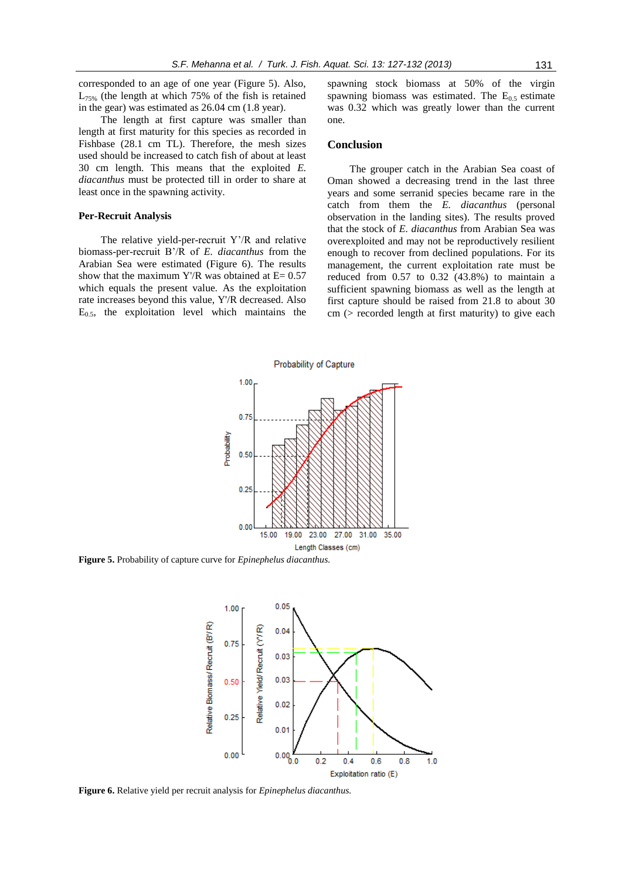corresponded to an age of one year (Figure 5). Also,  $L_{75\%}$  (the length at which 75% of the fish is retained in the gear) was estimated as 26.04 cm (1.8 year).

The length at first capture was smaller than length at first maturity for this species as recorded in Fishbase (28.1 cm TL). Therefore, the mesh sizes used should be increased to catch fish of about at least 30 cm length. This means that the exploited *E. diacanthus* must be protected till in order to share at least once in the spawning activity.

#### **Per-Recruit Analysis**

The relative yield-per-recruit Y'/R and relative biomass-per-recruit B'/R of *E. diacanthus* from the Arabian Sea were estimated (Figure 6). The results show that the maximum Y'/R was obtained at  $E= 0.57$ which equals the present value*.* As the exploitation rate increases beyond this value, Y'/R decreased. Also  $E_{0.5}$ , the exploitation level which maintains the spawning stock biomass at 50% of the virgin spawning biomass was estimated. The  $E_{0.5}$  estimate was 0.32 which was greatly lower than the current one.

# **Conclusion**

The grouper catch in the Arabian Sea coast of Oman showed a decreasing trend in the last three years and some serranid species became rare in the catch from them the *E. diacanthus* (personal observation in the landing sites). The results proved that the stock of *E. diacanthus* from Arabian Sea was overexploited and may not be reproductively resilient enough to recover from declined populations. For its management, the current exploitation rate must be reduced from 0.57 to 0.32 (43.8%) to maintain a sufficient spawning biomass as well as the length at first capture should be raised from 21.8 to about 30 cm (> recorded length at first maturity) to give each



**Figure 5.** Probability of capture curve for *Epinephelus diacanthus.*



**Figure 6.** Relative yield per recruit analysis for *Epinephelus diacanthus.*